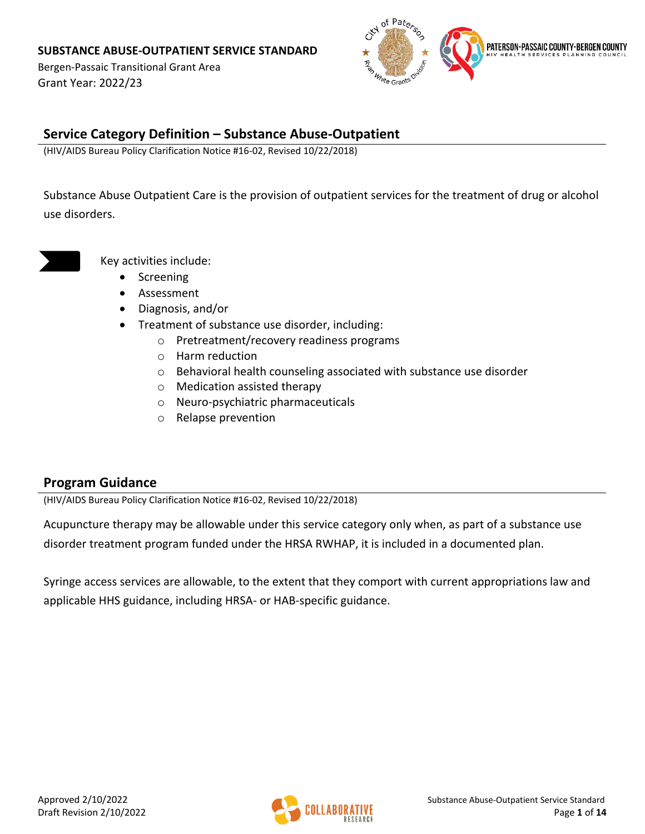Bergen-Passaic Transitional Grant Area Grant Year: 2022/23



### **Service Category Definition – Substance Abuse-Outpatient**

(HIV/AIDS Bureau Policy Clarification Notice #16-02, Revised 10/22/2018)

Substance Abuse Outpatient Care is the provision of outpatient services for the treatment of drug or alcohol use disorders.

Key activities include:

- Screening
- Assessment
- Diagnosis, and/or
- Treatment of substance use disorder, including:
	- o Pretreatment/recovery readiness programs
	- o Harm reduction
	- o Behavioral health counseling associated with substance use disorder
	- o Medication assisted therapy
	- o Neuro-psychiatric pharmaceuticals
	- o Relapse prevention

#### **Program Guidance**

(HIV/AIDS Bureau Policy Clarification Notice #16-02, Revised 10/22/2018)

Acupuncture therapy may be allowable under this service category only when, as part of a substance use disorder treatment program funded under the HRSA RWHAP, it is included in a documented plan.

Syringe access services are allowable, to the extent that they comport with current appropriations law and applicable HHS guidance, including HRSA- or HAB-specific guidance.

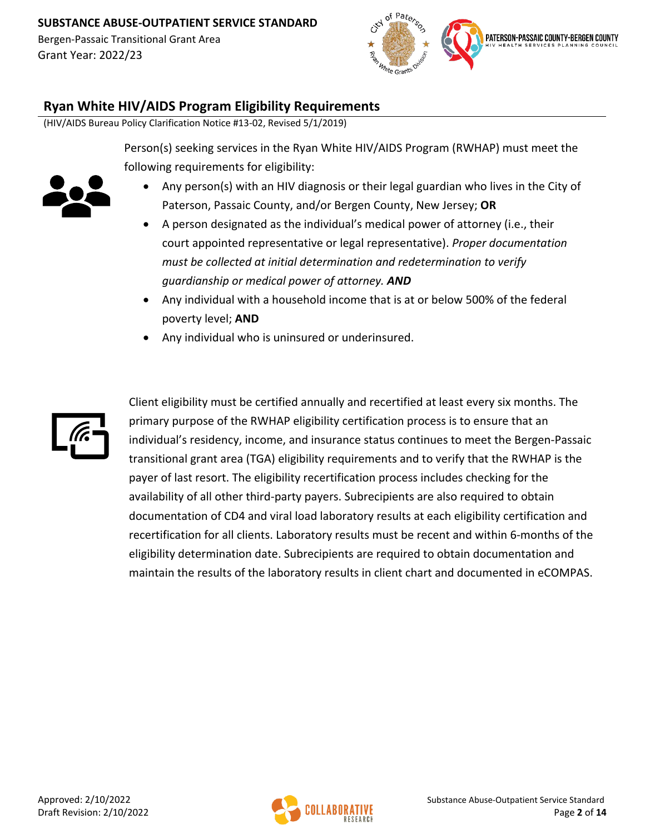

## **Ryan White HIV/AIDS Program Eligibility Requirements**

(HIV/AIDS Bureau Policy Clarification Notice #13-02, Revised 5/1/2019)

Person(s) seeking services in the Ryan White HIV/AIDS Program (RWHAP) must meet the following requirements for eligibility:



Grant Year: 2022/23

- Any person(s) with an HIV diagnosis or their legal guardian who lives in the City of Paterson, Passaic County, and/or Bergen County, New Jersey; **OR**
- A person designated as the individual's medical power of attorney (i.e., their court appointed representative or legal representative). *Proper documentation must be collected at initial determination and redetermination to verify guardianship or medical power of attorney. AND*
- Any individual with a household income that is at or below 500% of the federal poverty level; **AND**
- Any individual who is uninsured or underinsured.



Client eligibility must be certified annually and recertified at least every six months. The primary purpose of the RWHAP eligibility certification process is to ensure that an individual's residency, income, and insurance status continues to meet the Bergen-Passaic transitional grant area (TGA) eligibility requirements and to verify that the RWHAP is the payer of last resort. The eligibility recertification process includes checking for the availability of all other third-party payers. Subrecipients are also required to obtain documentation of CD4 and viral load laboratory results at each eligibility certification and recertification for all clients. Laboratory results must be recent and within 6-months of the eligibility determination date. Subrecipients are required to obtain documentation and maintain the results of the laboratory results in client chart and documented in eCOMPAS.

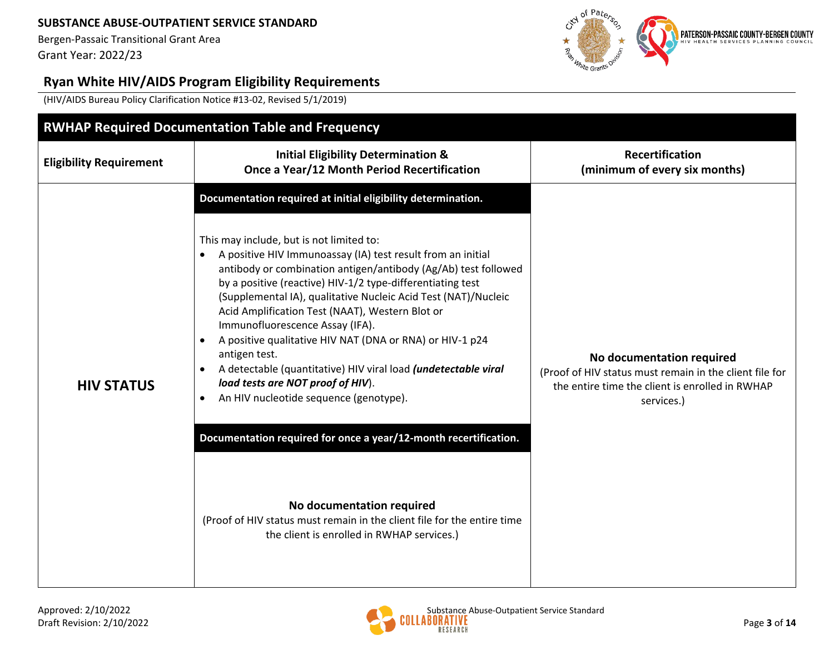Bergen-Passaic Transitional Grant Area Grant Year: 2022/23



# **Ryan White HIV/AIDS Program Eligibility Requirements**

(HIV/AIDS Bureau Policy Clarification Notice #13-02, Revised 5/1/2019)

| <b>RWHAP Required Documentation Table and Frequency</b> |                                                                                                                                                                                                                                                                                                                                                                                                                                                                                                                                                                                                                                                                                                                                                                                                                                                                                                                                                                |                                                                                                                                                       |  |  |  |
|---------------------------------------------------------|----------------------------------------------------------------------------------------------------------------------------------------------------------------------------------------------------------------------------------------------------------------------------------------------------------------------------------------------------------------------------------------------------------------------------------------------------------------------------------------------------------------------------------------------------------------------------------------------------------------------------------------------------------------------------------------------------------------------------------------------------------------------------------------------------------------------------------------------------------------------------------------------------------------------------------------------------------------|-------------------------------------------------------------------------------------------------------------------------------------------------------|--|--|--|
| <b>Eligibility Requirement</b>                          | <b>Initial Eligibility Determination &amp;</b><br>Once a Year/12 Month Period Recertification                                                                                                                                                                                                                                                                                                                                                                                                                                                                                                                                                                                                                                                                                                                                                                                                                                                                  | <b>Recertification</b><br>(minimum of every six months)                                                                                               |  |  |  |
| <b>HIV STATUS</b>                                       | Documentation required at initial eligibility determination.<br>This may include, but is not limited to:<br>A positive HIV Immunoassay (IA) test result from an initial<br>$\bullet$<br>antibody or combination antigen/antibody (Ag/Ab) test followed<br>by a positive (reactive) HIV-1/2 type-differentiating test<br>(Supplemental IA), qualitative Nucleic Acid Test (NAT)/Nucleic<br>Acid Amplification Test (NAAT), Western Blot or<br>Immunofluorescence Assay (IFA).<br>A positive qualitative HIV NAT (DNA or RNA) or HIV-1 p24<br>antigen test.<br>A detectable (quantitative) HIV viral load (undetectable viral<br>$\bullet$<br>load tests are NOT proof of HIV).<br>An HIV nucleotide sequence (genotype).<br>$\bullet$<br>Documentation required for once a year/12-month recertification.<br>No documentation required<br>(Proof of HIV status must remain in the client file for the entire time<br>the client is enrolled in RWHAP services.) | No documentation required<br>(Proof of HIV status must remain in the client file for<br>the entire time the client is enrolled in RWHAP<br>services.) |  |  |  |

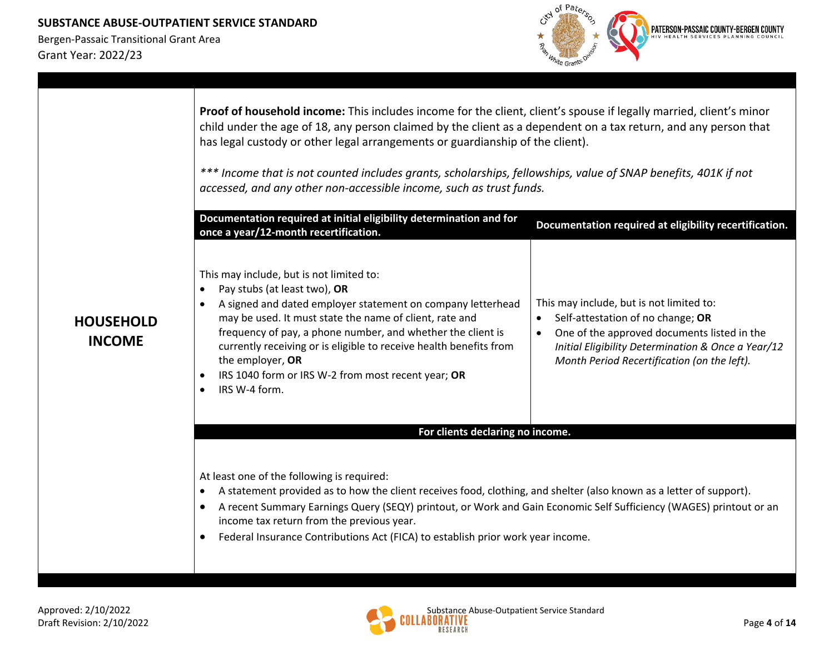

|                                   | Proof of household income: This includes income for the client, client's spouse if legally married, client's minor<br>child under the age of 18, any person claimed by the client as a dependent on a tax return, and any person that<br>has legal custody or other legal arrangements or guardianship of the client).<br>*** Income that is not counted includes grants, scholarships, fellowships, value of SNAP benefits, 401K if not<br>accessed, and any other non-accessible income, such as trust funds.<br>Documentation required at initial eligibility determination and for<br>once a year/12-month recertification. | Documentation required at eligibility recertification.                                                                                                                                                                            |
|-----------------------------------|---------------------------------------------------------------------------------------------------------------------------------------------------------------------------------------------------------------------------------------------------------------------------------------------------------------------------------------------------------------------------------------------------------------------------------------------------------------------------------------------------------------------------------------------------------------------------------------------------------------------------------|-----------------------------------------------------------------------------------------------------------------------------------------------------------------------------------------------------------------------------------|
| <b>HOUSEHOLD</b><br><b>INCOME</b> | This may include, but is not limited to:<br>Pay stubs (at least two), OR<br>$\bullet$<br>A signed and dated employer statement on company letterhead<br>$\bullet$<br>may be used. It must state the name of client, rate and<br>frequency of pay, a phone number, and whether the client is<br>currently receiving or is eligible to receive health benefits from<br>the employer, OR<br>IRS 1040 form or IRS W-2 from most recent year; OR<br>$\bullet$<br>IRS W-4 form.<br>$\bullet$                                                                                                                                          | This may include, but is not limited to:<br>Self-attestation of no change; OR<br>One of the approved documents listed in the<br>Initial Eligibility Determination & Once a Year/12<br>Month Period Recertification (on the left). |
|                                   | For clients declaring no income.                                                                                                                                                                                                                                                                                                                                                                                                                                                                                                                                                                                                |                                                                                                                                                                                                                                   |
|                                   | At least one of the following is required:<br>A statement provided as to how the client receives food, clothing, and shelter (also known as a letter of support).<br>$\bullet$<br>A recent Summary Earnings Query (SEQY) printout, or Work and Gain Economic Self Sufficiency (WAGES) printout or an<br>$\bullet$<br>income tax return from the previous year.<br>Federal Insurance Contributions Act (FICA) to establish prior work year income.<br>$\bullet$                                                                                                                                                                  |                                                                                                                                                                                                                                   |

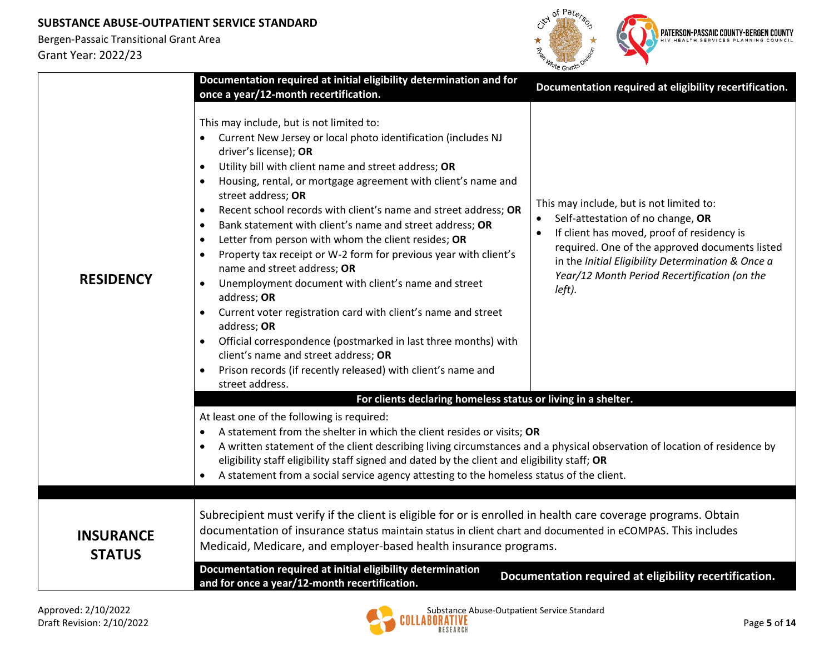

|                                   | Documentation required at initial eligibility determination and for<br>once a year/12-month recertification.                                                                                                                                                                                                                                                                                                                                                                                                                                                                                                                                                                                                                                                                                                                                                                                                                                                                                                               | Documentation required at eligibility recertification.                                                                                                                                                                                                                                       |
|-----------------------------------|----------------------------------------------------------------------------------------------------------------------------------------------------------------------------------------------------------------------------------------------------------------------------------------------------------------------------------------------------------------------------------------------------------------------------------------------------------------------------------------------------------------------------------------------------------------------------------------------------------------------------------------------------------------------------------------------------------------------------------------------------------------------------------------------------------------------------------------------------------------------------------------------------------------------------------------------------------------------------------------------------------------------------|----------------------------------------------------------------------------------------------------------------------------------------------------------------------------------------------------------------------------------------------------------------------------------------------|
| <b>RESIDENCY</b>                  | This may include, but is not limited to:<br>• Current New Jersey or local photo identification (includes NJ<br>driver's license); OR<br>Utility bill with client name and street address; OR<br>$\bullet$<br>Housing, rental, or mortgage agreement with client's name and<br>street address; OR<br>Recent school records with client's name and street address; OR<br>$\bullet$<br>Bank statement with client's name and street address; OR<br>$\bullet$<br>Letter from person with whom the client resides; OR<br>$\bullet$<br>Property tax receipt or W-2 form for previous year with client's<br>$\bullet$<br>name and street address; OR<br>Unemployment document with client's name and street<br>$\bullet$<br>address; OR<br>Current voter registration card with client's name and street<br>$\bullet$<br>address; OR<br>Official correspondence (postmarked in last three months) with<br>client's name and street address; OR<br>Prison records (if recently released) with client's name and<br>street address. | This may include, but is not limited to:<br>Self-attestation of no change, OR<br>If client has moved, proof of residency is<br>required. One of the approved documents listed<br>in the Initial Eligibility Determination & Once a<br>Year/12 Month Period Recertification (on the<br>left). |
|                                   | For clients declaring homeless status or living in a shelter.                                                                                                                                                                                                                                                                                                                                                                                                                                                                                                                                                                                                                                                                                                                                                                                                                                                                                                                                                              |                                                                                                                                                                                                                                                                                              |
|                                   | At least one of the following is required:<br>A statement from the shelter in which the client resides or visits; OR<br>$\bullet$<br>A written statement of the client describing living circumstances and a physical observation of location of residence by<br>eligibility staff eligibility staff signed and dated by the client and eligibility staff; OR<br>A statement from a social service agency attesting to the homeless status of the client.                                                                                                                                                                                                                                                                                                                                                                                                                                                                                                                                                                  |                                                                                                                                                                                                                                                                                              |
| <b>INSURANCE</b><br><b>STATUS</b> | Subrecipient must verify if the client is eligible for or is enrolled in health care coverage programs. Obtain<br>documentation of insurance status maintain status in client chart and documented in eCOMPAS. This includes<br>Medicaid, Medicare, and employer-based health insurance programs.                                                                                                                                                                                                                                                                                                                                                                                                                                                                                                                                                                                                                                                                                                                          |                                                                                                                                                                                                                                                                                              |
|                                   | Documentation required at initial eligibility determination<br>and for once a year/12-month recertification.                                                                                                                                                                                                                                                                                                                                                                                                                                                                                                                                                                                                                                                                                                                                                                                                                                                                                                               | Documentation required at eligibility recertification.                                                                                                                                                                                                                                       |

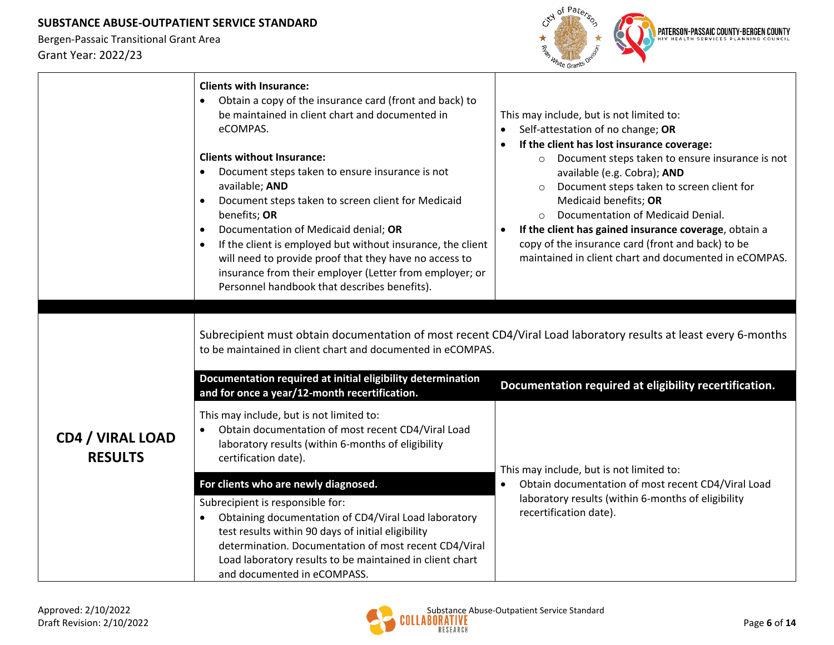

|                                           | <b>Clients with Insurance:</b><br>Obtain a copy of the insurance card (front and back) to<br>$\bullet$<br>be maintained in client chart and documented in<br>eCOMPAS.<br><b>Clients without Insurance:</b><br>Document steps taken to ensure insurance is not<br>available; AND<br>Document steps taken to screen client for Medicaid<br>benefits; OR<br>Documentation of Medicaid denial; OR<br>$\bullet$<br>If the client is employed but without insurance, the client<br>$\bullet$<br>will need to provide proof that they have no access to<br>insurance from their employer (Letter from employer; or<br>Personnel handbook that describes benefits). | This may include, but is not limited to:<br>Self-attestation of no change; OR<br>$\bullet$<br>If the client has lost insurance coverage:<br>$\bullet$<br>Document steps taken to ensure insurance is not<br>available (e.g. Cobra); AND<br>Document steps taken to screen client for<br>Medicaid benefits; OR<br>Documentation of Medicaid Denial.<br>If the client has gained insurance coverage, obtain a<br>$\bullet$<br>copy of the insurance card (front and back) to be<br>maintained in client chart and documented in eCOMPAS. |
|-------------------------------------------|-------------------------------------------------------------------------------------------------------------------------------------------------------------------------------------------------------------------------------------------------------------------------------------------------------------------------------------------------------------------------------------------------------------------------------------------------------------------------------------------------------------------------------------------------------------------------------------------------------------------------------------------------------------|----------------------------------------------------------------------------------------------------------------------------------------------------------------------------------------------------------------------------------------------------------------------------------------------------------------------------------------------------------------------------------------------------------------------------------------------------------------------------------------------------------------------------------------|
|                                           | to be maintained in client chart and documented in eCOMPAS.<br>Documentation required at initial eligibility determination<br>and for once a year/12-month recertification.                                                                                                                                                                                                                                                                                                                                                                                                                                                                                 | Subrecipient must obtain documentation of most recent CD4/Viral Load laboratory results at least every 6-months<br>Documentation required at eligibility recertification.                                                                                                                                                                                                                                                                                                                                                              |
| <b>CD4 / VIRAL LOAD</b><br><b>RESULTS</b> | This may include, but is not limited to:<br>Obtain documentation of most recent CD4/Viral Load<br>laboratory results (within 6-months of eligibility<br>certification date).                                                                                                                                                                                                                                                                                                                                                                                                                                                                                | This may include, but is not limited to:                                                                                                                                                                                                                                                                                                                                                                                                                                                                                               |
|                                           | For clients who are newly diagnosed.                                                                                                                                                                                                                                                                                                                                                                                                                                                                                                                                                                                                                        | Obtain documentation of most recent CD4/Viral Load<br>$\bullet$                                                                                                                                                                                                                                                                                                                                                                                                                                                                        |
|                                           | Subrecipient is responsible for:<br>Obtaining documentation of CD4/Viral Load laboratory<br>$\bullet$<br>test results within 90 days of initial eligibility<br>determination. Documentation of most recent CD4/Viral<br>Load laboratory results to be maintained in client chart<br>and documented in eCOMPASS.                                                                                                                                                                                                                                                                                                                                             | laboratory results (within 6-months of eligibility<br>recertification date).                                                                                                                                                                                                                                                                                                                                                                                                                                                           |

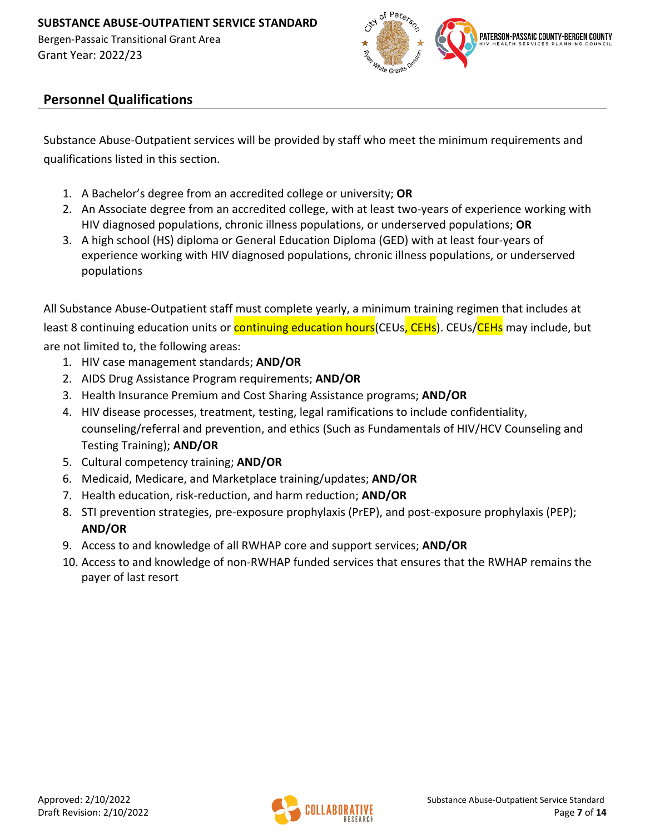

# **Personnel Qualifications**

Substance Abuse-Outpatient services will be provided by staff who meet the minimum requirements and qualifications listed in this section.

- 1. A Bachelor's degree from an accredited college or university; **OR**
- 2. An Associate degree from an accredited college, with at least two-years of experience working with HIV diagnosed populations, chronic illness populations, or underserved populations; **OR**
- 3. A high school (HS) diploma or General Education Diploma (GED) with at least four-years of experience working with HIV diagnosed populations, chronic illness populations, or underserved populations

All Substance Abuse-Outpatient staff must complete yearly, a minimum training regimen that includes at least 8 continuing education units or **continuing education hours**(CEUs, CEHs). CEUs/CEHs may include, but

are not limited to, the following areas:

- 1. HIV case management standards; **AND/OR**
- 2. AIDS Drug Assistance Program requirements; **AND/OR**
- 3. Health Insurance Premium and Cost Sharing Assistance programs; **AND/OR**
- 4. HIV disease processes, treatment, testing, legal ramifications to include confidentiality, counseling/referral and prevention, and ethics (Such as Fundamentals of HIV/HCV Counseling and Testing Training); **AND/OR**
- 5. Cultural competency training; **AND/OR**
- 6. Medicaid, Medicare, and Marketplace training/updates; **AND/OR**
- 7. Health education, risk-reduction, and harm reduction; **AND/OR**
- 8. STI prevention strategies, pre-exposure prophylaxis (PrEP), and post-exposure prophylaxis (PEP); **AND/OR**
- 9. Access to and knowledge of all RWHAP core and support services; **AND/OR**
- 10. Access to and knowledge of non-RWHAP funded services that ensures that the RWHAP remains the payer of last resort

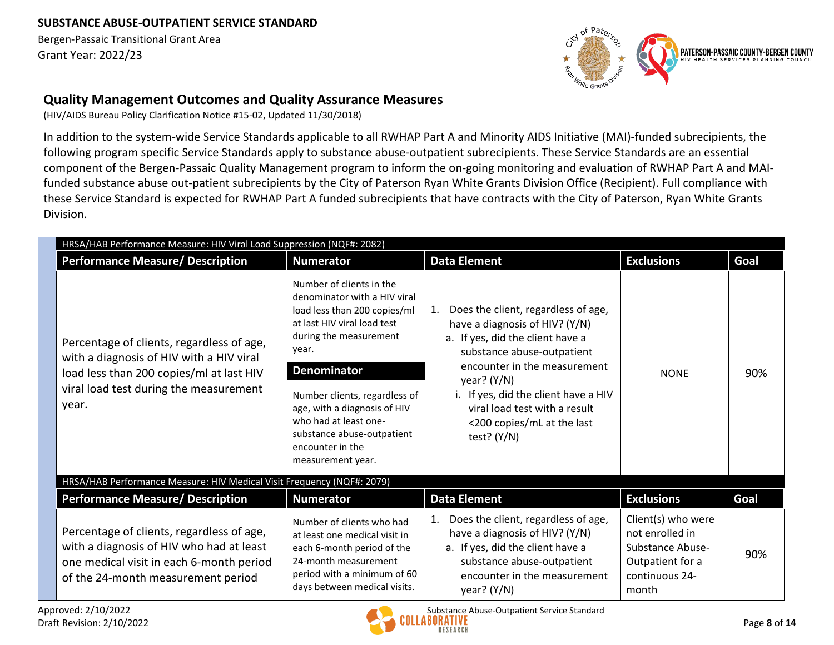Bergen-Passaic Transitional Grant Area Grant Year: 2022/23



### **Quality Management Outcomes and Quality Assurance Measures**

(HIV/AIDS Bureau Policy Clarification Notice #15-02, Updated 11/30/2018)

In addition to the system-wide Service Standards applicable to all RWHAP Part A and Minority AIDS Initiative (MAI)-funded subrecipients, the following program specific Service Standards apply to substance abuse-outpatient subrecipients. These Service Standards are an essential component of the Bergen-Passaic Quality Management program to inform the on-going monitoring and evaluation of RWHAP Part A and MAIfunded substance abuse out-patient subrecipients by the City of Paterson Ryan White Grants Division Office (Recipient). Full compliance with these Service Standard is expected for RWHAP Part A funded subrecipients that have contracts with the City of Paterson, Ryan White Grants Division.

| HRSA/HAB Performance Measure: HIV Viral Load Suppression (NQF#: 2082)                                                                                                                |                                                                                                                                                                                                                                                                                                                                                   |                                                                                                                                                                                                                                                                                                                        |                                                                                                                 |      |
|--------------------------------------------------------------------------------------------------------------------------------------------------------------------------------------|---------------------------------------------------------------------------------------------------------------------------------------------------------------------------------------------------------------------------------------------------------------------------------------------------------------------------------------------------|------------------------------------------------------------------------------------------------------------------------------------------------------------------------------------------------------------------------------------------------------------------------------------------------------------------------|-----------------------------------------------------------------------------------------------------------------|------|
| <b>Performance Measure/ Description</b>                                                                                                                                              | <b>Numerator</b>                                                                                                                                                                                                                                                                                                                                  | <b>Data Element</b>                                                                                                                                                                                                                                                                                                    | <b>Exclusions</b>                                                                                               | Goal |
| Percentage of clients, regardless of age,<br>with a diagnosis of HIV with a HIV viral<br>load less than 200 copies/ml at last HIV<br>viral load test during the measurement<br>year. | Number of clients in the<br>denominator with a HIV viral<br>load less than 200 copies/ml<br>at last HIV viral load test<br>during the measurement<br>year.<br><b>Denominator</b><br>Number clients, regardless of<br>age, with a diagnosis of HIV<br>who had at least one-<br>substance abuse-outpatient<br>encounter in the<br>measurement year. | Does the client, regardless of age,<br>1.<br>have a diagnosis of HIV? (Y/N)<br>a. If yes, did the client have a<br>substance abuse-outpatient<br>encounter in the measurement<br>year? $(Y/N)$<br>i. If yes, did the client have a HIV<br>viral load test with a result<br><200 copies/mL at the last<br>test? $(Y/N)$ | <b>NONE</b>                                                                                                     | 90%  |
| HRSA/HAB Performance Measure: HIV Medical Visit Frequency (NQF#: 2079)                                                                                                               |                                                                                                                                                                                                                                                                                                                                                   |                                                                                                                                                                                                                                                                                                                        |                                                                                                                 |      |
| <b>Performance Measure/ Description</b>                                                                                                                                              | <b>Numerator</b>                                                                                                                                                                                                                                                                                                                                  | <b>Data Element</b>                                                                                                                                                                                                                                                                                                    | <b>Exclusions</b>                                                                                               | Goal |
| Percentage of clients, regardless of age,<br>with a diagnosis of HIV who had at least<br>one medical visit in each 6-month period<br>of the 24-month measurement period              | Number of clients who had<br>at least one medical visit in<br>each 6-month period of the<br>24-month measurement<br>period with a minimum of 60<br>days between medical visits.                                                                                                                                                                   | Does the client, regardless of age,<br>1.<br>have a diagnosis of HIV? (Y/N)<br>a. If yes, did the client have a<br>substance abuse-outpatient<br>encounter in the measurement<br>year? (Y/N)                                                                                                                           | Client(s) who were<br>not enrolled in<br><b>Substance Abuse-</b><br>Outpatient for a<br>continuous 24-<br>month | 90%  |

Approved: 2/10/2022 Approved: 2/10/2022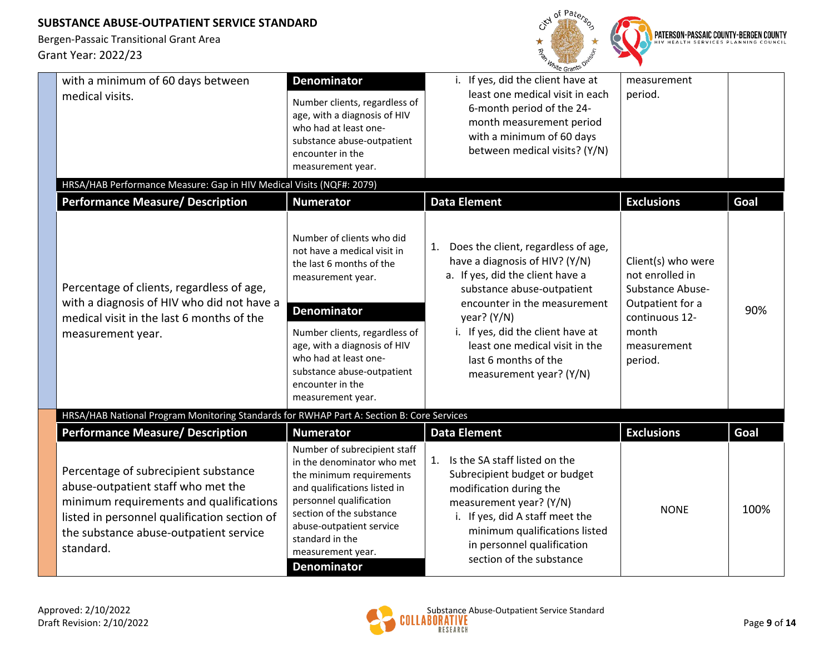

|                                                                                                                                                                                                                              |                                                                                                                                                                                                                                                                                                  | <sup>n</sup> ite Grant <sup>S</sup>                                                                                                                                                                                                                                                                                      |                                                                                                                                           |      |
|------------------------------------------------------------------------------------------------------------------------------------------------------------------------------------------------------------------------------|--------------------------------------------------------------------------------------------------------------------------------------------------------------------------------------------------------------------------------------------------------------------------------------------------|--------------------------------------------------------------------------------------------------------------------------------------------------------------------------------------------------------------------------------------------------------------------------------------------------------------------------|-------------------------------------------------------------------------------------------------------------------------------------------|------|
| with a minimum of 60 days between<br>medical visits.                                                                                                                                                                         | <b>Denominator</b><br>Number clients, regardless of<br>age, with a diagnosis of HIV<br>who had at least one-<br>substance abuse-outpatient<br>encounter in the<br>measurement year.                                                                                                              | i. If yes, did the client have at<br>least one medical visit in each<br>6-month period of the 24-<br>month measurement period<br>with a minimum of 60 days<br>between medical visits? (Y/N)                                                                                                                              | measurement<br>period.                                                                                                                    |      |
| HRSA/HAB Performance Measure: Gap in HIV Medical Visits (NQF#: 2079)                                                                                                                                                         |                                                                                                                                                                                                                                                                                                  |                                                                                                                                                                                                                                                                                                                          |                                                                                                                                           |      |
| <b>Performance Measure/ Description</b>                                                                                                                                                                                      | <b>Numerator</b>                                                                                                                                                                                                                                                                                 | <b>Data Element</b>                                                                                                                                                                                                                                                                                                      | <b>Exclusions</b>                                                                                                                         | Goal |
| Percentage of clients, regardless of age,<br>with a diagnosis of HIV who did not have a<br>medical visit in the last 6 months of the<br>measurement year.                                                                    | Number of clients who did<br>not have a medical visit in<br>the last 6 months of the<br>measurement year.<br><b>Denominator</b><br>Number clients, regardless of<br>age, with a diagnosis of HIV<br>who had at least one-<br>substance abuse-outpatient<br>encounter in the<br>measurement year. | Does the client, regardless of age,<br>1.<br>have a diagnosis of HIV? (Y/N)<br>a. If yes, did the client have a<br>substance abuse-outpatient<br>encounter in the measurement<br>year? $(Y/N)$<br>i. If yes, did the client have at<br>least one medical visit in the<br>last 6 months of the<br>measurement year? (Y/N) | Client(s) who were<br>not enrolled in<br><b>Substance Abuse-</b><br>Outpatient for a<br>continuous 12-<br>month<br>measurement<br>period. | 90%  |
| HRSA/HAB National Program Monitoring Standards for RWHAP Part A: Section B: Core Services                                                                                                                                    |                                                                                                                                                                                                                                                                                                  |                                                                                                                                                                                                                                                                                                                          |                                                                                                                                           |      |
| <b>Performance Measure/ Description</b>                                                                                                                                                                                      | <b>Numerator</b>                                                                                                                                                                                                                                                                                 | <b>Data Element</b>                                                                                                                                                                                                                                                                                                      | <b>Exclusions</b>                                                                                                                         | Goal |
| Percentage of subrecipient substance<br>abuse-outpatient staff who met the<br>minimum requirements and qualifications<br>listed in personnel qualification section of<br>the substance abuse-outpatient service<br>standard. | Number of subrecipient staff<br>in the denominator who met<br>the minimum requirements<br>and qualifications listed in<br>personnel qualification<br>section of the substance<br>abuse-outpatient service<br>standard in the<br>measurement year.<br><b>Denominator</b>                          | Is the SA staff listed on the<br>1.<br>Subrecipient budget or budget<br>modification during the<br>measurement year? (Y/N)<br>i. If yes, did A staff meet the<br>minimum qualifications listed<br>in personnel qualification<br>section of the substance                                                                 | <b>NONE</b>                                                                                                                               | 100% |

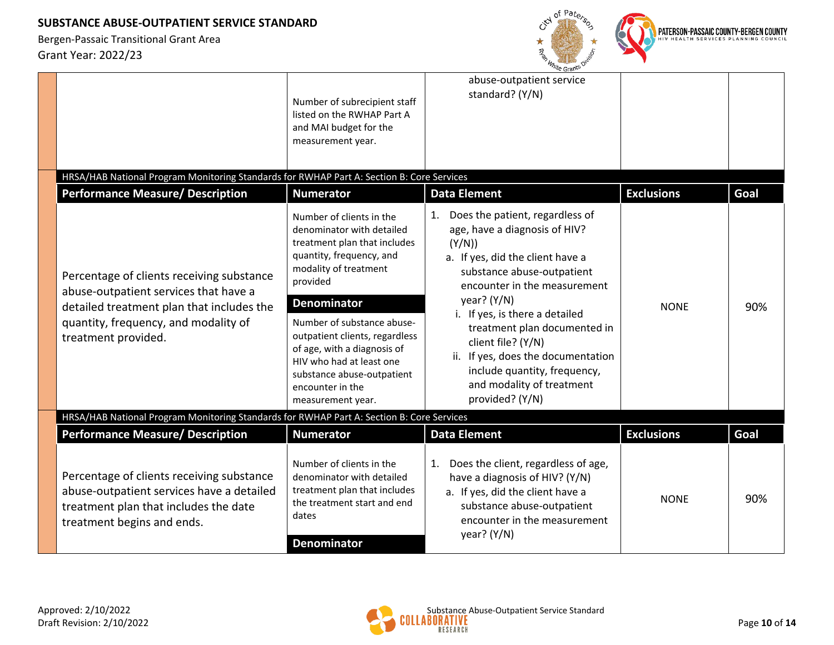Bergen-Passaic Transitional Grant Area Grant Year: 2022/23



PATERSON-PASSAIC COUNTY-BERGEN COUNTY

| HRSA/HAB National Program Monitoring Standards for RWHAP Part A: Section B: Core Services                                                                                                      | Number of subrecipient staff<br>listed on the RWHAP Part A<br>and MAI budget for the<br>measurement year.                                                                                                                                                                                                                                                                      | re Granu<br>abuse-outpatient service<br>standard? (Y/N)                                                                                                                                                                                                                                                                                                                                                     |                   |      |
|------------------------------------------------------------------------------------------------------------------------------------------------------------------------------------------------|--------------------------------------------------------------------------------------------------------------------------------------------------------------------------------------------------------------------------------------------------------------------------------------------------------------------------------------------------------------------------------|-------------------------------------------------------------------------------------------------------------------------------------------------------------------------------------------------------------------------------------------------------------------------------------------------------------------------------------------------------------------------------------------------------------|-------------------|------|
| <b>Performance Measure/ Description</b>                                                                                                                                                        | <b>Numerator</b>                                                                                                                                                                                                                                                                                                                                                               | <b>Data Element</b>                                                                                                                                                                                                                                                                                                                                                                                         | <b>Exclusions</b> | Goal |
| Percentage of clients receiving substance<br>abuse-outpatient services that have a<br>detailed treatment plan that includes the<br>quantity, frequency, and modality of<br>treatment provided. | Number of clients in the<br>denominator with detailed<br>treatment plan that includes<br>quantity, frequency, and<br>modality of treatment<br>provided<br><b>Denominator</b><br>Number of substance abuse-<br>outpatient clients, regardless<br>of age, with a diagnosis of<br>HIV who had at least one<br>substance abuse-outpatient<br>encounter in the<br>measurement year. | 1. Does the patient, regardless of<br>age, have a diagnosis of HIV?<br>(Y/N)<br>a. If yes, did the client have a<br>substance abuse-outpatient<br>encounter in the measurement<br>year? (Y/N)<br>i. If yes, is there a detailed<br>treatment plan documented in<br>client file? (Y/N)<br>ii. If yes, does the documentation<br>include quantity, frequency,<br>and modality of treatment<br>provided? (Y/N) | <b>NONE</b>       | 90%  |
| HRSA/HAB National Program Monitoring Standards for RWHAP Part A: Section B: Core Services                                                                                                      |                                                                                                                                                                                                                                                                                                                                                                                |                                                                                                                                                                                                                                                                                                                                                                                                             |                   |      |
| <b>Performance Measure/ Description</b>                                                                                                                                                        | <b>Numerator</b>                                                                                                                                                                                                                                                                                                                                                               | <b>Data Element</b>                                                                                                                                                                                                                                                                                                                                                                                         | <b>Exclusions</b> | Goal |
| Percentage of clients receiving substance<br>abuse-outpatient services have a detailed<br>treatment plan that includes the date<br>treatment begins and ends.                                  | Number of clients in the<br>denominator with detailed<br>treatment plan that includes<br>the treatment start and end<br>dates<br><b>Denominator</b>                                                                                                                                                                                                                            | Does the client, regardless of age,<br>1.<br>have a diagnosis of HIV? (Y/N)<br>a. If yes, did the client have a<br>substance abuse-outpatient<br>encounter in the measurement<br>year? (Y/N)                                                                                                                                                                                                                | <b>NONE</b>       | 90%  |

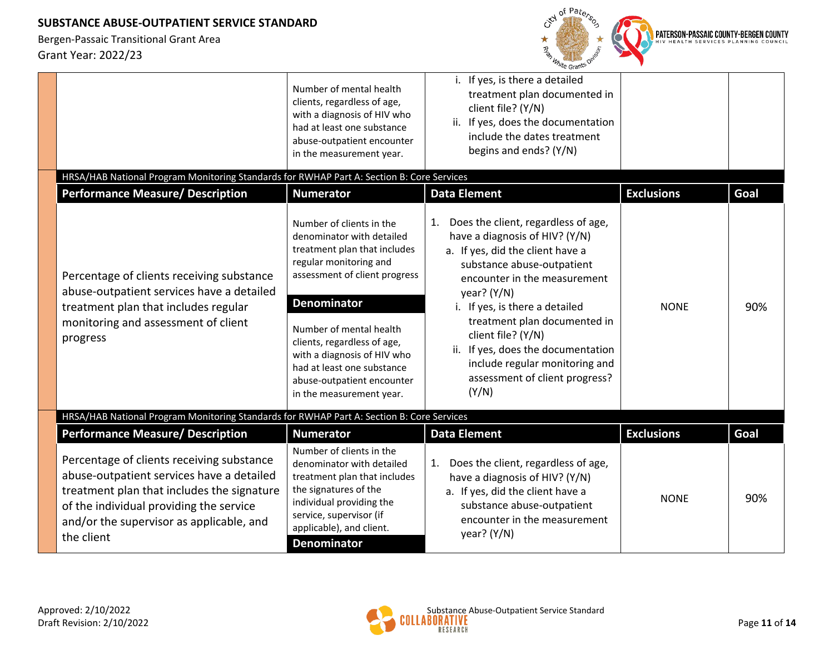

|                                                                                                                                                                                                                                           | Number of mental health<br>clients, regardless of age,                                                                                                                                                                  | i. If yes, is there a detailed<br>treatment plan documented in<br>client file? (Y/N)                                                                                                                    |                   |      |
|-------------------------------------------------------------------------------------------------------------------------------------------------------------------------------------------------------------------------------------------|-------------------------------------------------------------------------------------------------------------------------------------------------------------------------------------------------------------------------|---------------------------------------------------------------------------------------------------------------------------------------------------------------------------------------------------------|-------------------|------|
|                                                                                                                                                                                                                                           | with a diagnosis of HIV who<br>had at least one substance<br>abuse-outpatient encounter<br>in the measurement year.                                                                                                     | ii. If yes, does the documentation<br>include the dates treatment<br>begins and ends? (Y/N)                                                                                                             |                   |      |
| HRSA/HAB National Program Monitoring Standards for RWHAP Part A: Section B: Core Services                                                                                                                                                 |                                                                                                                                                                                                                         |                                                                                                                                                                                                         |                   |      |
| <b>Performance Measure/ Description</b>                                                                                                                                                                                                   | <b>Numerator</b>                                                                                                                                                                                                        | <b>Data Element</b>                                                                                                                                                                                     | <b>Exclusions</b> | Goal |
| Percentage of clients receiving substance<br>abuse-outpatient services have a detailed                                                                                                                                                    | Number of clients in the<br>denominator with detailed<br>treatment plan that includes<br>regular monitoring and<br>assessment of client progress                                                                        | Does the client, regardless of age,<br>1.<br>have a diagnosis of HIV? (Y/N)<br>a. If yes, did the client have a<br>substance abuse-outpatient<br>encounter in the measurement<br>year? (Y/N)            |                   |      |
| treatment plan that includes regular<br>monitoring and assessment of client<br>progress                                                                                                                                                   | <b>Denominator</b><br>Number of mental health<br>clients, regardless of age,<br>with a diagnosis of HIV who<br>had at least one substance<br>abuse-outpatient encounter<br>in the measurement year.                     | i. If yes, is there a detailed<br>treatment plan documented in<br>client file? (Y/N)<br>ii. If yes, does the documentation<br>include regular monitoring and<br>assessment of client progress?<br>(Y/N) | <b>NONE</b>       | 90%  |
| HRSA/HAB National Program Monitoring Standards for RWHAP Part A: Section B: Core Services                                                                                                                                                 |                                                                                                                                                                                                                         |                                                                                                                                                                                                         |                   |      |
| <b>Performance Measure/ Description</b>                                                                                                                                                                                                   | <b>Numerator</b>                                                                                                                                                                                                        | <b>Data Element</b>                                                                                                                                                                                     | <b>Exclusions</b> | Goal |
| Percentage of clients receiving substance<br>abuse-outpatient services have a detailed<br>treatment plan that includes the signature<br>of the individual providing the service<br>and/or the supervisor as applicable, and<br>the client | Number of clients in the<br>denominator with detailed<br>treatment plan that includes<br>the signatures of the<br>individual providing the<br>service, supervisor (if<br>applicable), and client.<br><b>Denominator</b> | Does the client, regardless of age,<br>1.<br>have a diagnosis of HIV? (Y/N)<br>a. If yes, did the client have a<br>substance abuse-outpatient<br>encounter in the measurement<br>year? (Y/N)            | <b>NONE</b>       | 90%  |

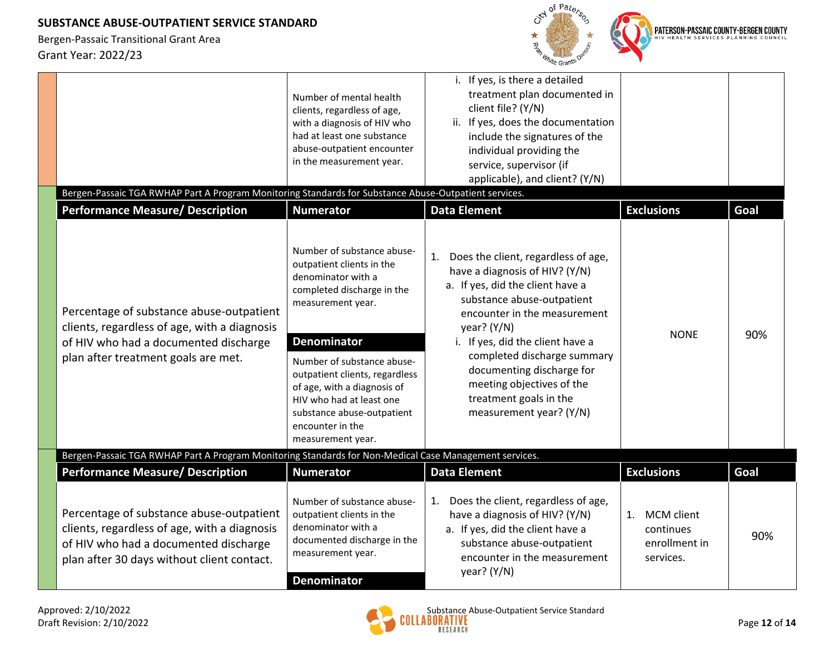

|                                                                                                                                                                                 | Number of mental health<br>clients, regardless of age,<br>with a diagnosis of HIV who<br>had at least one substance<br>abuse-outpatient encounter<br>in the measurement year.                                        | i. If yes, is there a detailed<br>treatment plan documented in<br>client file? (Y/N)<br>ii. If yes, does the documentation<br>include the signatures of the<br>individual providing the<br>service, supervisor (if<br>applicable), and client? (Y/N) |                                                                    |      |
|---------------------------------------------------------------------------------------------------------------------------------------------------------------------------------|----------------------------------------------------------------------------------------------------------------------------------------------------------------------------------------------------------------------|------------------------------------------------------------------------------------------------------------------------------------------------------------------------------------------------------------------------------------------------------|--------------------------------------------------------------------|------|
| Bergen-Passaic TGA RWHAP Part A Program Monitoring Standards for Substance Abuse-Outpatient services.                                                                           |                                                                                                                                                                                                                      |                                                                                                                                                                                                                                                      |                                                                    |      |
| <b>Performance Measure/ Description</b>                                                                                                                                         | <b>Numerator</b>                                                                                                                                                                                                     | <b>Data Element</b>                                                                                                                                                                                                                                  | <b>Exclusions</b>                                                  | Goal |
| Percentage of substance abuse-outpatient<br>clients, regardless of age, with a diagnosis                                                                                        | Number of substance abuse-<br>outpatient clients in the<br>denominator with a<br>completed discharge in the<br>measurement year.                                                                                     | Does the client, regardless of age,<br>1.<br>have a diagnosis of HIV? (Y/N)<br>a. If yes, did the client have a<br>substance abuse-outpatient<br>encounter in the measurement<br>year? $(Y/N)$                                                       |                                                                    |      |
| of HIV who had a documented discharge<br>plan after treatment goals are met.                                                                                                    | <b>Denominator</b><br>Number of substance abuse-<br>outpatient clients, regardless<br>of age, with a diagnosis of<br>HIV who had at least one<br>substance abuse-outpatient<br>encounter in the<br>measurement year. | i. If yes, did the client have a<br>completed discharge summary<br>documenting discharge for<br>meeting objectives of the<br>treatment goals in the<br>measurement year? (Y/N)                                                                       | <b>NONE</b>                                                        | 90%  |
| Bergen-Passaic TGA RWHAP Part A Program Monitoring Standards for Non-Medical Case Management services.                                                                          |                                                                                                                                                                                                                      |                                                                                                                                                                                                                                                      |                                                                    |      |
| <b>Performance Measure/ Description</b>                                                                                                                                         | <b>Numerator</b>                                                                                                                                                                                                     | <b>Data Element</b>                                                                                                                                                                                                                                  | <b>Exclusions</b>                                                  | Goal |
| Percentage of substance abuse-outpatient<br>clients, regardless of age, with a diagnosis<br>of HIV who had a documented discharge<br>plan after 30 days without client contact. | Number of substance abuse-<br>outpatient clients in the<br>denominator with a<br>documented discharge in the<br>measurement year.<br><b>Denominator</b>                                                              | Does the client, regardless of age,<br>1.<br>have a diagnosis of HIV? (Y/N)<br>a. If yes, did the client have a<br>substance abuse-outpatient<br>encounter in the measurement<br>year? (Y/N)                                                         | 1.<br><b>MCM</b> client<br>continues<br>enrollment in<br>services. | 90%  |

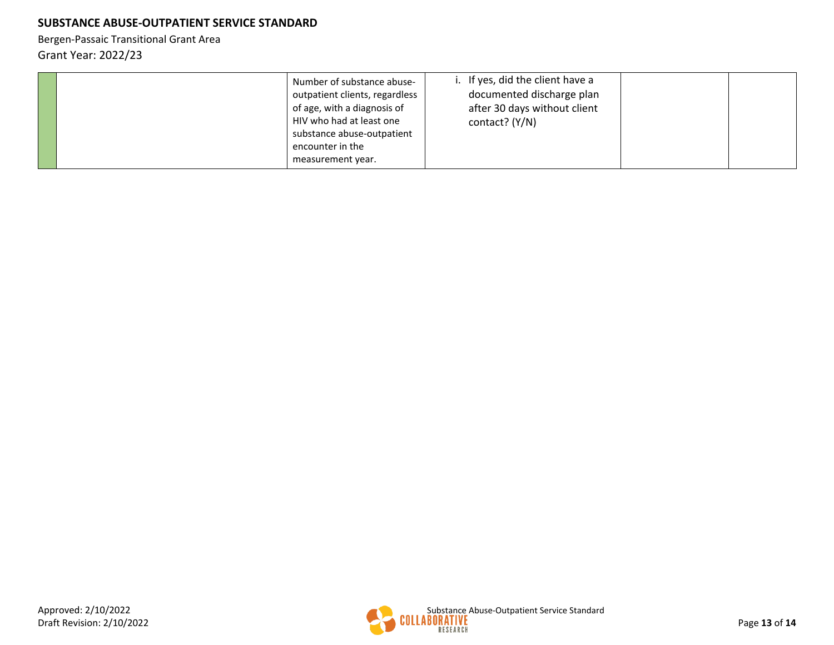| Number of substance abuse-<br>outpatient clients, regardless<br>of age, with a diagnosis of<br>HIV who had at least one<br>substance abuse-outpatient<br>encounter in the<br>measurement year. | i. If yes, did the client have a<br>documented discharge plan<br>after 30 days without client<br>contact? (Y/N) |  |
|------------------------------------------------------------------------------------------------------------------------------------------------------------------------------------------------|-----------------------------------------------------------------------------------------------------------------|--|
|------------------------------------------------------------------------------------------------------------------------------------------------------------------------------------------------|-----------------------------------------------------------------------------------------------------------------|--|